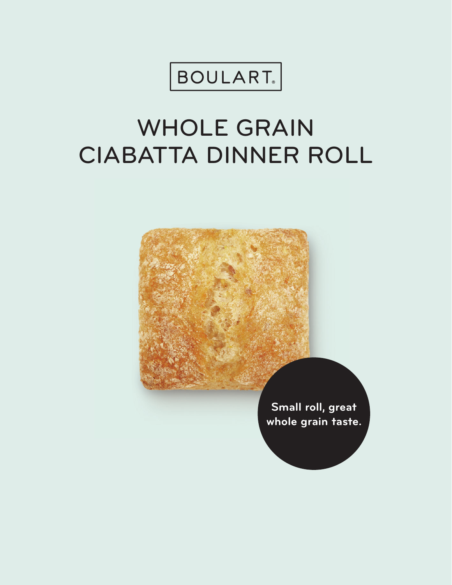

# WHOLE GRAIN CIABATTA DINNER ROLL